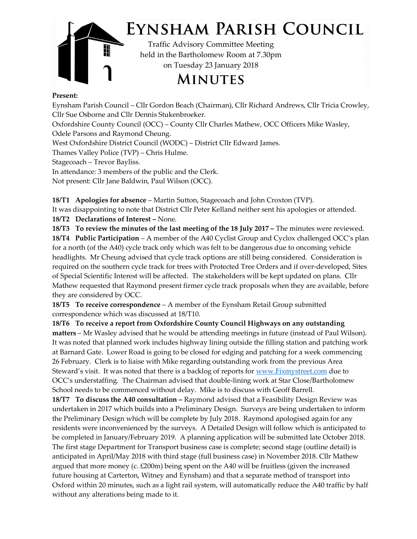

## EYNSHAM PARISH COUNCIL

Traffic Advisory Committee Meeting held in the Bartholomew Room at 7.30pm on Tuesday 23 January 2018

**MINUTES** 

## Present:

Eynsham Parish Council – Cllr Gordon Beach (Chairman), Cllr Richard Andrews, Cllr Tricia Crowley, Cllr Sue Osborne and Cllr Dennis Stukenbroeker.

Oxfordshire County Council (OCC) – County Cllr Charles Mathew, OCC Officers Mike Wasley,

Odele Parsons and Raymond Cheung.

West Oxfordshire District Council (WODC) – District Cllr Edward James.

Thames Valley Police (TVP) – Chris Hulme.

Stagecoach – Trevor Bayliss.

In attendance: 3 members of the public and the Clerk.

Not present: Cllr Jane Baldwin, Paul Wilson (OCC).

18/T1 Apologies for absence – Martin Sutton, Stagecoach and John Croxton (TVP).

It was disappointing to note that District Cllr Peter Kelland neither sent his apologies or attended.

18/T2 Declarations of Interest – None.

18/T3 To review the minutes of the last meeting of the 18 July 2017 – The minutes were reviewed.

 of Special Scientific Interest will be affected. The stakeholders will be kept updated on plans. Cllr headlights. Mr Cheung advised that cycle track options are still being considered. Consideration is 18/T4 Public Participation – A member of the A40 Cyclist Group and Cyclox challenged OCC's plan for a north (of the A40) cycle track only which was felt to be dangerous due to oncoming vehicle required on the southern cycle track for trees with Protected Tree Orders and if over-developed, Sites Mathew requested that Raymond present firmer cycle track proposals when they are available, before they are considered by OCC.

18/T5 To receive correspondence – A member of the Eynsham Retail Group submitted correspondence which was discussed at 18/T10.

18/T6 To receive a report from Oxfordshire County Council Highways on any outstanding matters – Mr Wasley advised that he would be attending meetings in future (instead of Paul Wilson). It was noted that planned work includes highway lining outside the filling station and patching work at Barnard Gate. Lower Road is going to be closed for edging and patching for a week commencing 26 February. Clerk is to liaise with Mike regarding outstanding work from the previous Area Steward's visit. It was noted that there is a backlog of reports for www.Fixmystreet.com due to OCC's understaffing. The Chairman advised that double-lining work at Star Close/Bartholomew School needs to be commenced without delay. Mike is to discuss with Geoff Barrell.

 without any alterations being made to it. be completed in January/February 2019. A planning application will be submitted late October 2018. 18/T7 To discuss the A40 consultation – Raymond advised that a Feasibility Design Review was undertaken in 2017 which builds into a Preliminary Design. Surveys are being undertaken to inform the Preliminary Design which will be complete by July 2018. Raymond apologised again for any residents were inconvenienced by the surveys. A Detailed Design will follow which is anticipated to The first stage Department for Transport business case is complete; second stage (outline detail) is anticipated in April/May 2018 with third stage (full business case) in November 2018. Cllr Mathew argued that more money (c.  $E200m$ ) being spent on the A40 will be fruitless (given the increased future housing at Carterton, Witney and Eynsham) and that a separate method of transport into Oxford within 20 minutes, such as a light rail system, will automatically reduce the A40 traffic by half